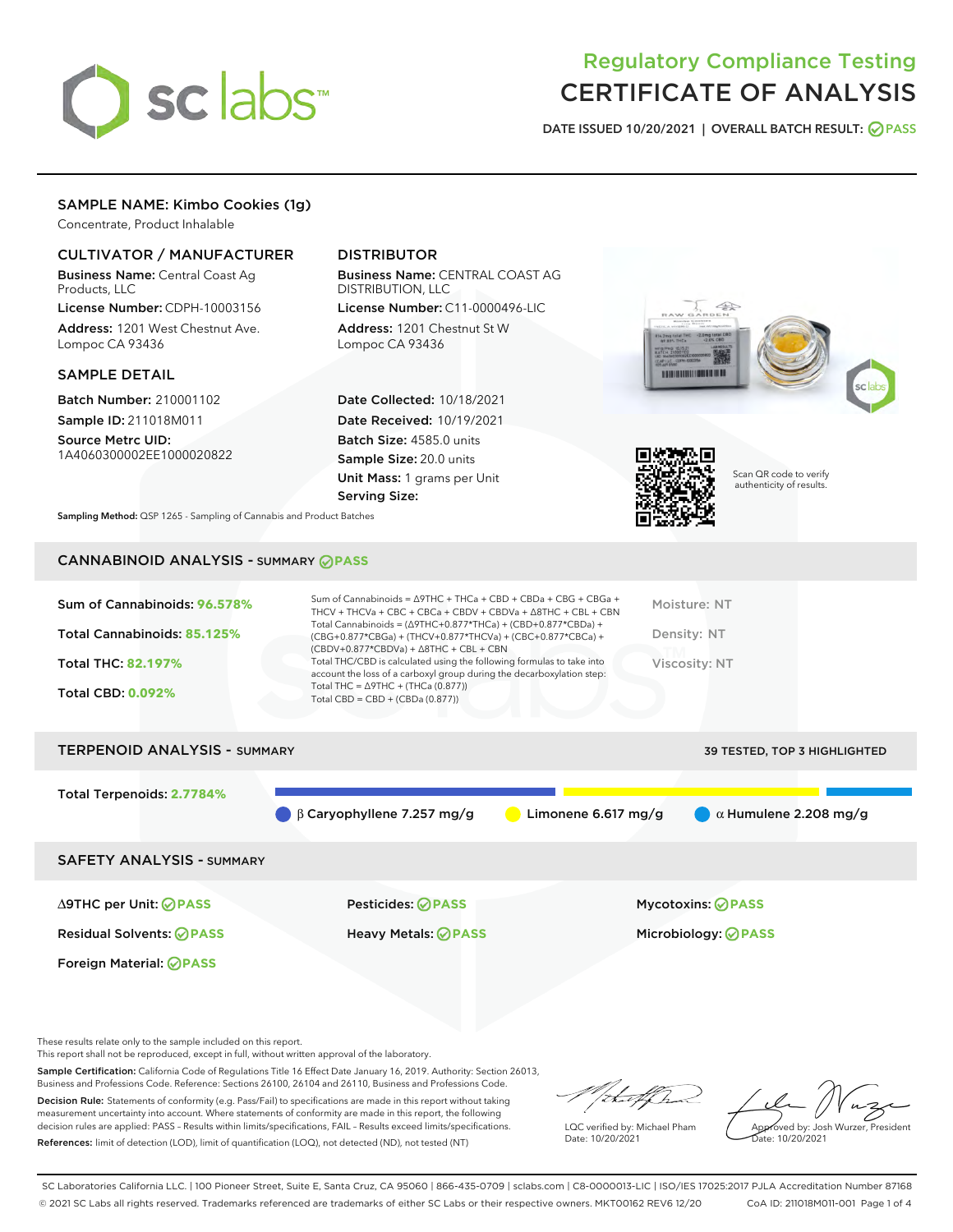

# Regulatory Compliance Testing CERTIFICATE OF ANALYSIS

DATE ISSUED 10/20/2021 | OVERALL BATCH RESULT: @ PASS

# SAMPLE NAME: Kimbo Cookies (1g)

Concentrate, Product Inhalable

# CULTIVATOR / MANUFACTURER

Business Name: Central Coast Ag Products, LLC

License Number: CDPH-10003156 Address: 1201 West Chestnut Ave. Lompoc CA 93436

#### SAMPLE DETAIL

Batch Number: 210001102 Sample ID: 211018M011

Source Metrc UID: 1A4060300002EE1000020822

# DISTRIBUTOR

Business Name: CENTRAL COAST AG DISTRIBUTION, LLC License Number: C11-0000496-LIC

Address: 1201 Chestnut St W Lompoc CA 93436

Date Collected: 10/18/2021 Date Received: 10/19/2021 Batch Size: 4585.0 units Sample Size: 20.0 units Unit Mass: 1 grams per Unit Serving Size:





Scan QR code to verify authenticity of results.

Sampling Method: QSP 1265 - Sampling of Cannabis and Product Batches

# CANNABINOID ANALYSIS - SUMMARY **PASS**

| Sum of Cannabinoids: 96.578%<br>Total Cannabinoids: 85.125%<br><b>Total THC: 82.197%</b><br><b>Total CBD: 0.092%</b> | Sum of Cannabinoids = $\triangle$ 9THC + THCa + CBD + CBDa + CBG + CBGa +<br>THCV + THCVa + CBC + CBCa + CBDV + CBDVa + $\Delta$ 8THC + CBL + CBN<br>Total Cannabinoids = $(\Delta$ 9THC+0.877*THCa) + $(CBD+0.877$ *CBDa) +<br>(CBG+0.877*CBGa) + (THCV+0.877*THCVa) + (CBC+0.877*CBCa) +<br>$(CBDV+0.877*CBDVa) + \Delta 8THC + CBL + CBN$<br>Total THC/CBD is calculated using the following formulas to take into<br>account the loss of a carboxyl group during the decarboxylation step:<br>Total THC = $\triangle$ 9THC + (THCa (0.877))<br>Total CBD = $CBD + (CBDa (0.877))$ | Moisture: NT<br>Density: NT<br>Viscosity: NT |
|----------------------------------------------------------------------------------------------------------------------|---------------------------------------------------------------------------------------------------------------------------------------------------------------------------------------------------------------------------------------------------------------------------------------------------------------------------------------------------------------------------------------------------------------------------------------------------------------------------------------------------------------------------------------------------------------------------------------|----------------------------------------------|
| <b>TERPENOID ANALYSIS - SUMMARY</b>                                                                                  |                                                                                                                                                                                                                                                                                                                                                                                                                                                                                                                                                                                       | <b>39 TESTED. TOP 3 HIGHLIGHTED</b>          |

Total Terpenoids: **2.7784%** β Caryophyllene 7.257 mg/g **a** Limonene 6.617 mg/g  $\alpha$  Humulene 2.208 mg/g SAFETY ANALYSIS - SUMMARY

∆9THC per Unit: **PASS** Pesticides: **PASS** Mycotoxins: **PASS**

Foreign Material: **PASS**

Residual Solvents: **PASS** Heavy Metals: **PASS** Microbiology: **PASS**

These results relate only to the sample included on this report.

This report shall not be reproduced, except in full, without written approval of the laboratory.

Sample Certification: California Code of Regulations Title 16 Effect Date January 16, 2019. Authority: Section 26013, Business and Professions Code. Reference: Sections 26100, 26104 and 26110, Business and Professions Code.

Decision Rule: Statements of conformity (e.g. Pass/Fail) to specifications are made in this report without taking measurement uncertainty into account. Where statements of conformity are made in this report, the following decision rules are applied: PASS – Results within limits/specifications, FAIL – Results exceed limits/specifications. References: limit of detection (LOD), limit of quantification (LOQ), not detected (ND), not tested (NT)

that f Is

LQC verified by: Michael Pham Date: 10/20/2021

Approved by: Josh Wurzer, President ate: 10/20/2021

SC Laboratories California LLC. | 100 Pioneer Street, Suite E, Santa Cruz, CA 95060 | 866-435-0709 | sclabs.com | C8-0000013-LIC | ISO/IES 17025:2017 PJLA Accreditation Number 87168 © 2021 SC Labs all rights reserved. Trademarks referenced are trademarks of either SC Labs or their respective owners. MKT00162 REV6 12/20 CoA ID: 211018M011-001 Page 1 of 4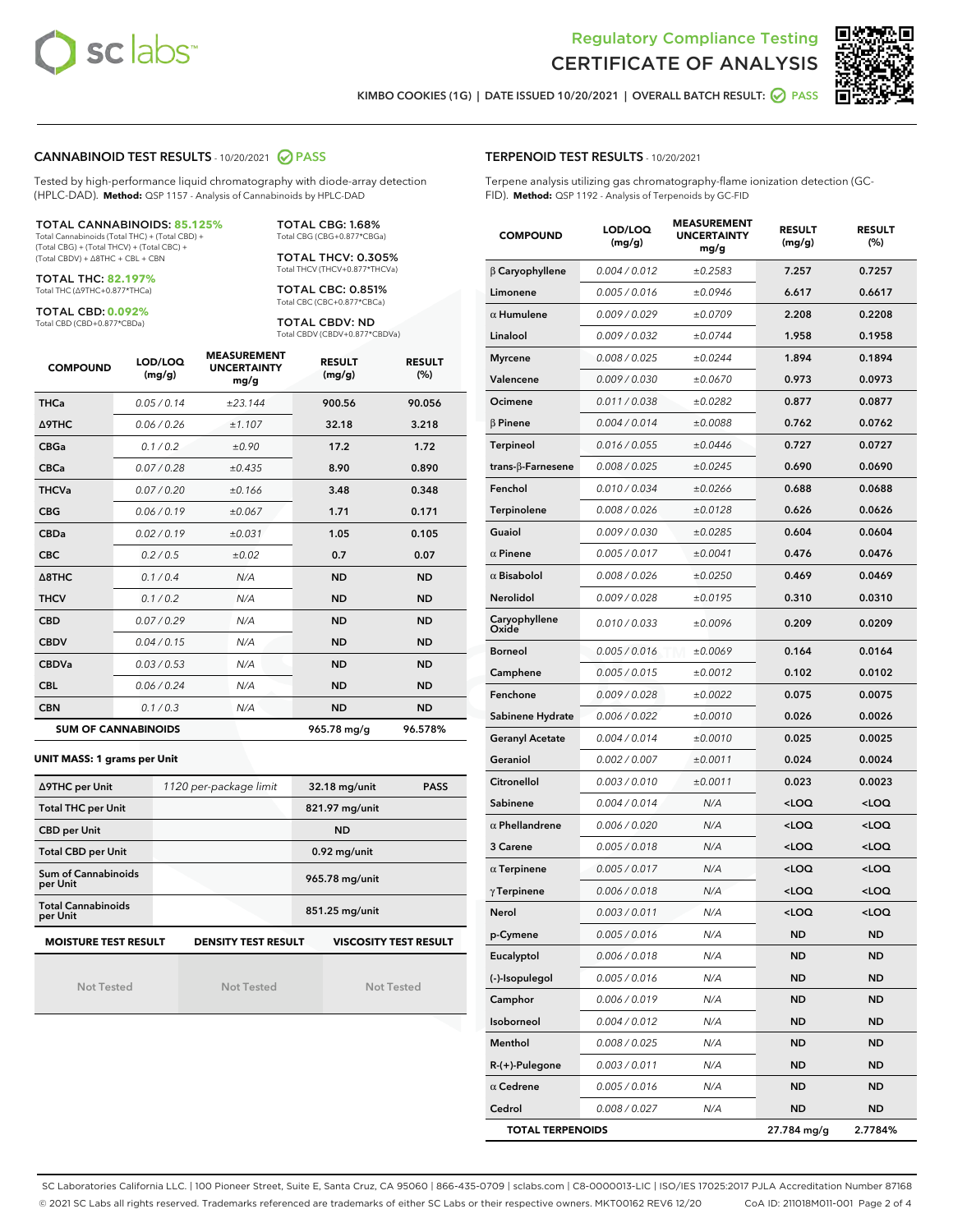



KIMBO COOKIES (1G) | DATE ISSUED 10/20/2021 | OVERALL BATCH RESULT: ● PASS

#### CANNABINOID TEST RESULTS - 10/20/2021 2 PASS

Tested by high-performance liquid chromatography with diode-array detection (HPLC-DAD). **Method:** QSP 1157 - Analysis of Cannabinoids by HPLC-DAD

#### TOTAL CANNABINOIDS: **85.125%**

Total Cannabinoids (Total THC) + (Total CBD) + (Total CBG) + (Total THCV) + (Total CBC) + (Total CBDV) + ∆8THC + CBL + CBN

TOTAL THC: **82.197%** Total THC (∆9THC+0.877\*THCa)

TOTAL CBD: **0.092%**

Total CBD (CBD+0.877\*CBDa)

TOTAL CBG: 1.68% Total CBG (CBG+0.877\*CBGa)

TOTAL THCV: 0.305% Total THCV (THCV+0.877\*THCVa)

TOTAL CBC: 0.851% Total CBC (CBC+0.877\*CBCa)

TOTAL CBDV: ND Total CBDV (CBDV+0.877\*CBDVa)

| <b>COMPOUND</b>            | LOD/LOQ<br>(mg/g) | <b>MEASUREMENT</b><br><b>UNCERTAINTY</b><br>mg/g | <b>RESULT</b><br>(mg/g) | <b>RESULT</b><br>(%) |
|----------------------------|-------------------|--------------------------------------------------|-------------------------|----------------------|
| <b>THCa</b>                | 0.05/0.14         | ±23.144                                          | 900.56                  | 90.056               |
| <b>A9THC</b>               | 0.06 / 0.26       | ±1.107                                           | 32.18                   | 3.218                |
| <b>CBGa</b>                | 0.1/0.2           | ±0.90                                            | 17.2                    | 1.72                 |
| <b>CBCa</b>                | 0.07/0.28         | ±0.435                                           | 8.90                    | 0.890                |
| <b>THCVa</b>               | 0.07 / 0.20       | ±0.166                                           | 3.48                    | 0.348                |
| <b>CBG</b>                 | 0.06/0.19         | ±0.067                                           | 1.71                    | 0.171                |
| <b>CBDa</b>                | 0.02/0.19         | ±0.031                                           | 1.05                    | 0.105                |
| <b>CBC</b>                 | 0.2 / 0.5         | ±0.02                                            | 0.7                     | 0.07                 |
| $\triangle$ 8THC           | 0.1/0.4           | N/A                                              | <b>ND</b>               | <b>ND</b>            |
| <b>THCV</b>                | 0.1 / 0.2         | N/A                                              | <b>ND</b>               | <b>ND</b>            |
| <b>CBD</b>                 | 0.07/0.29         | N/A                                              | <b>ND</b>               | <b>ND</b>            |
| <b>CBDV</b>                | 0.04 / 0.15       | N/A                                              | <b>ND</b>               | <b>ND</b>            |
| <b>CBDVa</b>               | 0.03 / 0.53       | N/A                                              | <b>ND</b>               | <b>ND</b>            |
| <b>CBL</b>                 | 0.06 / 0.24       | N/A                                              | <b>ND</b>               | <b>ND</b>            |
| <b>CBN</b>                 | 0.1/0.3           | N/A                                              | <b>ND</b>               | <b>ND</b>            |
| <b>SUM OF CANNABINOIDS</b> |                   |                                                  | 965.78 mg/g             | 96.578%              |

#### **UNIT MASS: 1 grams per Unit**

| ∆9THC per Unit                        | 1120 per-package limit     | 32.18 mg/unit<br><b>PASS</b> |
|---------------------------------------|----------------------------|------------------------------|
| <b>Total THC per Unit</b>             |                            | 821.97 mg/unit               |
| <b>CBD per Unit</b>                   |                            | <b>ND</b>                    |
| <b>Total CBD per Unit</b>             |                            | $0.92$ mg/unit               |
| Sum of Cannabinoids<br>per Unit       |                            | 965.78 mg/unit               |
| <b>Total Cannabinoids</b><br>per Unit |                            | 851.25 mg/unit               |
| <b>MOISTURE TEST RESULT</b>           | <b>DENSITY TEST RESULT</b> | <b>VISCOSITY TEST RESULT</b> |

Not Tested

Not Tested

Not Tested

#### TERPENOID TEST RESULTS - 10/20/2021

Terpene analysis utilizing gas chromatography-flame ionization detection (GC-FID). **Method:** QSP 1192 - Analysis of Terpenoids by GC-FID

| <b>COMPOUND</b>           | LOD/LOQ<br>(mg/g) | <b>MEASUREMENT</b><br><b>UNCERTAINTY</b><br>mg/g | <b>RESULT</b><br>(mg/g)                         | <b>RESULT</b><br>(%) |
|---------------------------|-------------------|--------------------------------------------------|-------------------------------------------------|----------------------|
| $\beta$ Caryophyllene     | 0.004 / 0.012     | ±0.2583                                          | 7.257                                           | 0.7257               |
| Limonene                  | 0.005 / 0.016     | ±0.0946                                          | 6.617                                           | 0.6617               |
| $\alpha$ Humulene         | 0.009 / 0.029     | ±0.0709                                          | 2.208                                           | 0.2208               |
| Linalool                  | 0.009 / 0.032     | ±0.0744                                          | 1.958                                           | 0.1958               |
| <b>Myrcene</b>            | 0.008 / 0.025     | ±0.0244                                          | 1.894                                           | 0.1894               |
| Valencene                 | 0.009 / 0.030     | ±0.0670                                          | 0.973                                           | 0.0973               |
| Ocimene                   | 0.011 / 0.038     | ±0.0282                                          | 0.877                                           | 0.0877               |
| $\beta$ Pinene            | 0.004 / 0.014     | ±0.0088                                          | 0.762                                           | 0.0762               |
| <b>Terpineol</b>          | 0.016 / 0.055     | ±0.0446                                          | 0.727                                           | 0.0727               |
| trans- $\beta$ -Farnesene | 0.008 / 0.025     | ±0.0245                                          | 0.690                                           | 0.0690               |
| Fenchol                   | 0.010 / 0.034     | ±0.0266                                          | 0.688                                           | 0.0688               |
| Terpinolene               | 0.008 / 0.026     | ±0.0128                                          | 0.626                                           | 0.0626               |
| Guaiol                    | 0.009 / 0.030     | ±0.0285                                          | 0.604                                           | 0.0604               |
| $\alpha$ Pinene           | 0.005 / 0.017     | ±0.0041                                          | 0.476                                           | 0.0476               |
| $\alpha$ Bisabolol        | 0.008 / 0.026     | ±0.0250                                          | 0.469                                           | 0.0469               |
| Nerolidol                 | 0.009 / 0.028     | ±0.0195                                          | 0.310                                           | 0.0310               |
| Caryophyllene<br>Oxide    | 0.010 / 0.033     | ±0.0096                                          | 0.209                                           | 0.0209               |
| <b>Borneol</b>            | 0.005 / 0.016     | ±0.0069                                          | 0.164                                           | 0.0164               |
| Camphene                  | 0.005 / 0.015     | ±0.0012                                          | 0.102                                           | 0.0102               |
| Fenchone                  | 0.009 / 0.028     | ±0.0022                                          | 0.075                                           | 0.0075               |
| Sabinene Hydrate          | 0.006 / 0.022     | ±0.0010                                          | 0.026                                           | 0.0026               |
| <b>Geranyl Acetate</b>    | 0.004 / 0.014     | ±0.0010                                          | 0.025                                           | 0.0025               |
| Geraniol                  | 0.002 / 0.007     | ±0.0011                                          | 0.024                                           | 0.0024               |
| Citronellol               | 0.003 / 0.010     | ±0.0011                                          | 0.023                                           | 0.0023               |
| Sabinene                  | 0.004 / 0.014     | N/A                                              | <loq< th=""><th><loq< th=""></loq<></th></loq<> | <loq< th=""></loq<>  |
| $\alpha$ Phellandrene     | 0.006 / 0.020     | N/A                                              | <loq< th=""><th><loq< th=""></loq<></th></loq<> | <loq< th=""></loq<>  |
| 3 Carene                  | 0.005 / 0.018     | N/A                                              | <loq< th=""><th><loq< th=""></loq<></th></loq<> | <loq< th=""></loq<>  |
| $\alpha$ Terpinene        | 0.005 / 0.017     | N/A                                              | <loq< th=""><th><loq< th=""></loq<></th></loq<> | <loq< th=""></loq<>  |
| $\gamma$ Terpinene        | 0.006 / 0.018     | N/A                                              | <loq< th=""><th><loq< th=""></loq<></th></loq<> | <loq< th=""></loq<>  |
| Nerol                     | 0.003 / 0.011     | N/A                                              | $\sim$ 00                                       | 100 <sub>2</sub>     |
| p-Cymene                  | 0.005 / 0.016     | N/A                                              | ND                                              | ND                   |
| Eucalyptol                | 0.006 / 0.018     | N/A                                              | <b>ND</b>                                       | <b>ND</b>            |
| (-)-Isopulegol            | 0.005 / 0.016     | N/A                                              | ND                                              | <b>ND</b>            |
| Camphor                   | 0.006 / 0.019     | N/A                                              | ND                                              | <b>ND</b>            |
| Isoborneol                | 0.004 / 0.012     | N/A                                              | ND                                              | ND                   |
| Menthol                   | 0.008 / 0.025     | N/A                                              | ND                                              | <b>ND</b>            |
| $R-(+)$ -Pulegone         | 0.003 / 0.011     | N/A                                              | ND                                              | <b>ND</b>            |
| $\alpha$ Cedrene          | 0.005 / 0.016     | N/A                                              | ND                                              | ND                   |
| Cedrol                    | 0.008 / 0.027     | N/A                                              | ND                                              | ND                   |
| <b>TOTAL TERPENOIDS</b>   |                   | 27.784 mg/g                                      | 2.7784%                                         |                      |

SC Laboratories California LLC. | 100 Pioneer Street, Suite E, Santa Cruz, CA 95060 | 866-435-0709 | sclabs.com | C8-0000013-LIC | ISO/IES 17025:2017 PJLA Accreditation Number 87168 © 2021 SC Labs all rights reserved. Trademarks referenced are trademarks of either SC Labs or their respective owners. MKT00162 REV6 12/20 CoA ID: 211018M011-001 Page 2 of 4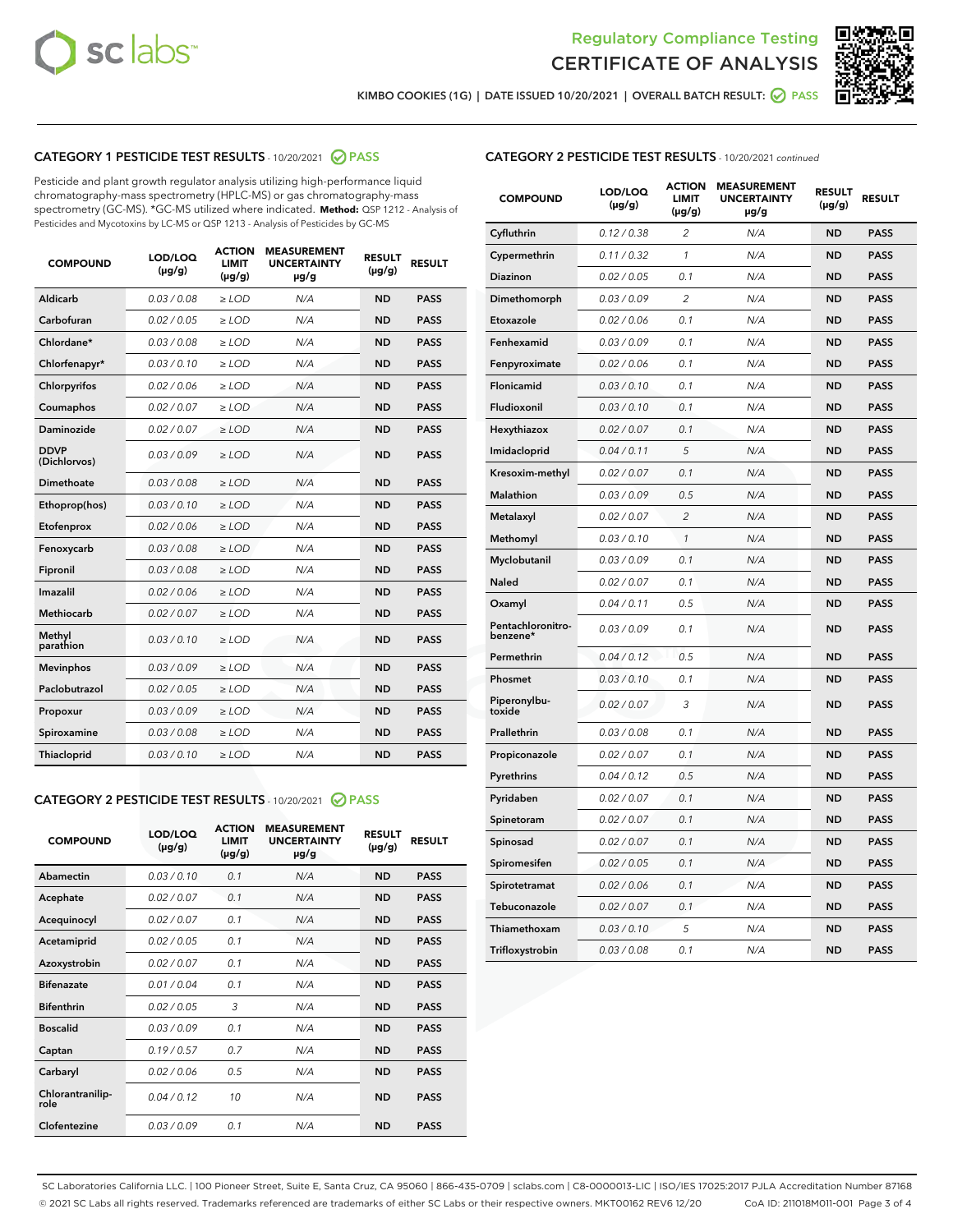



KIMBO COOKIES (1G) | DATE ISSUED 10/20/2021 | OVERALL BATCH RESULT: ● PASS

# CATEGORY 1 PESTICIDE TEST RESULTS - 10/20/2021 2 PASS

Pesticide and plant growth regulator analysis utilizing high-performance liquid chromatography-mass spectrometry (HPLC-MS) or gas chromatography-mass spectrometry (GC-MS). \*GC-MS utilized where indicated. **Method:** QSP 1212 - Analysis of Pesticides and Mycotoxins by LC-MS or QSP 1213 - Analysis of Pesticides by GC-MS

| 0.03 / 0.08<br><b>ND</b><br><b>PASS</b><br>Aldicarb<br>$\ge$ LOD<br>N/A<br>Carbofuran<br>0.02 / 0.05<br>$\ge$ LOD<br>N/A<br><b>ND</b><br><b>PASS</b><br>Chlordane*<br>0.03 / 0.08<br>$\ge$ LOD<br>N/A<br><b>ND</b><br><b>PASS</b><br>Chlorfenapyr*<br>0.03/0.10<br>$\ge$ LOD<br>N/A<br><b>ND</b><br><b>PASS</b><br>Chlorpyrifos<br>0.02 / 0.06<br>N/A<br><b>ND</b><br><b>PASS</b><br>$\ge$ LOD<br>Coumaphos<br>0.02 / 0.07<br>N/A<br><b>ND</b><br><b>PASS</b><br>$\ge$ LOD<br>Daminozide<br>0.02 / 0.07<br>N/A<br><b>ND</b><br><b>PASS</b><br>$\ge$ LOD<br><b>DDVP</b><br>0.03/0.09<br>$>$ LOD<br>N/A<br><b>ND</b><br><b>PASS</b><br>(Dichlorvos)<br><b>Dimethoate</b><br>0.03 / 0.08<br>$\ge$ LOD<br><b>ND</b><br><b>PASS</b><br>N/A<br>0.03/0.10<br>N/A<br><b>ND</b><br><b>PASS</b><br>Ethoprop(hos)<br>$>$ LOD<br>N/A<br><b>ND</b><br><b>PASS</b><br>Etofenprox<br>0.02 / 0.06<br>$\ge$ LOD<br>Fenoxycarb<br>0.03 / 0.08<br>$\ge$ LOD<br>N/A<br><b>ND</b><br><b>PASS</b><br>0.03/0.08<br>$\ge$ LOD<br>N/A<br><b>ND</b><br><b>PASS</b><br>Fipronil<br>Imazalil<br>0.02 / 0.06<br>$\geq$ LOD<br>N/A<br><b>ND</b><br><b>PASS</b><br><b>Methiocarb</b><br>0.02 / 0.07<br>$\ge$ LOD<br>N/A<br><b>ND</b><br><b>PASS</b><br>Methyl<br>0.03/0.10<br>N/A<br><b>ND</b><br><b>PASS</b><br>$\ge$ LOD<br>parathion<br>0.03/0.09<br><b>Mevinphos</b><br>$\ge$ LOD<br>N/A<br><b>ND</b><br><b>PASS</b><br>Paclobutrazol<br>0.02 / 0.05<br>$>$ LOD<br>N/A<br><b>ND</b><br><b>PASS</b><br>0.03 / 0.09<br>N/A<br>$\ge$ LOD<br><b>ND</b><br><b>PASS</b><br>Propoxur<br>0.03 / 0.08<br><b>ND</b><br><b>PASS</b><br>Spiroxamine<br>$\ge$ LOD<br>N/A<br>Thiacloprid<br>0.03/0.10<br>$\ge$ LOD<br>N/A<br><b>ND</b><br><b>PASS</b> | <b>COMPOUND</b> | LOD/LOQ<br>$(\mu g/g)$ | <b>ACTION</b><br><b>LIMIT</b><br>$(\mu g/g)$ | <b>MEASUREMENT</b><br><b>UNCERTAINTY</b><br>$\mu$ g/g | <b>RESULT</b><br>$(\mu g/g)$ | <b>RESULT</b> |
|--------------------------------------------------------------------------------------------------------------------------------------------------------------------------------------------------------------------------------------------------------------------------------------------------------------------------------------------------------------------------------------------------------------------------------------------------------------------------------------------------------------------------------------------------------------------------------------------------------------------------------------------------------------------------------------------------------------------------------------------------------------------------------------------------------------------------------------------------------------------------------------------------------------------------------------------------------------------------------------------------------------------------------------------------------------------------------------------------------------------------------------------------------------------------------------------------------------------------------------------------------------------------------------------------------------------------------------------------------------------------------------------------------------------------------------------------------------------------------------------------------------------------------------------------------------------------------------------------------------------------------------------------------------------------------------------------------------|-----------------|------------------------|----------------------------------------------|-------------------------------------------------------|------------------------------|---------------|
|                                                                                                                                                                                                                                                                                                                                                                                                                                                                                                                                                                                                                                                                                                                                                                                                                                                                                                                                                                                                                                                                                                                                                                                                                                                                                                                                                                                                                                                                                                                                                                                                                                                                                                              |                 |                        |                                              |                                                       |                              |               |
|                                                                                                                                                                                                                                                                                                                                                                                                                                                                                                                                                                                                                                                                                                                                                                                                                                                                                                                                                                                                                                                                                                                                                                                                                                                                                                                                                                                                                                                                                                                                                                                                                                                                                                              |                 |                        |                                              |                                                       |                              |               |
|                                                                                                                                                                                                                                                                                                                                                                                                                                                                                                                                                                                                                                                                                                                                                                                                                                                                                                                                                                                                                                                                                                                                                                                                                                                                                                                                                                                                                                                                                                                                                                                                                                                                                                              |                 |                        |                                              |                                                       |                              |               |
|                                                                                                                                                                                                                                                                                                                                                                                                                                                                                                                                                                                                                                                                                                                                                                                                                                                                                                                                                                                                                                                                                                                                                                                                                                                                                                                                                                                                                                                                                                                                                                                                                                                                                                              |                 |                        |                                              |                                                       |                              |               |
|                                                                                                                                                                                                                                                                                                                                                                                                                                                                                                                                                                                                                                                                                                                                                                                                                                                                                                                                                                                                                                                                                                                                                                                                                                                                                                                                                                                                                                                                                                                                                                                                                                                                                                              |                 |                        |                                              |                                                       |                              |               |
|                                                                                                                                                                                                                                                                                                                                                                                                                                                                                                                                                                                                                                                                                                                                                                                                                                                                                                                                                                                                                                                                                                                                                                                                                                                                                                                                                                                                                                                                                                                                                                                                                                                                                                              |                 |                        |                                              |                                                       |                              |               |
|                                                                                                                                                                                                                                                                                                                                                                                                                                                                                                                                                                                                                                                                                                                                                                                                                                                                                                                                                                                                                                                                                                                                                                                                                                                                                                                                                                                                                                                                                                                                                                                                                                                                                                              |                 |                        |                                              |                                                       |                              |               |
|                                                                                                                                                                                                                                                                                                                                                                                                                                                                                                                                                                                                                                                                                                                                                                                                                                                                                                                                                                                                                                                                                                                                                                                                                                                                                                                                                                                                                                                                                                                                                                                                                                                                                                              |                 |                        |                                              |                                                       |                              |               |
|                                                                                                                                                                                                                                                                                                                                                                                                                                                                                                                                                                                                                                                                                                                                                                                                                                                                                                                                                                                                                                                                                                                                                                                                                                                                                                                                                                                                                                                                                                                                                                                                                                                                                                              |                 |                        |                                              |                                                       |                              |               |
|                                                                                                                                                                                                                                                                                                                                                                                                                                                                                                                                                                                                                                                                                                                                                                                                                                                                                                                                                                                                                                                                                                                                                                                                                                                                                                                                                                                                                                                                                                                                                                                                                                                                                                              |                 |                        |                                              |                                                       |                              |               |
|                                                                                                                                                                                                                                                                                                                                                                                                                                                                                                                                                                                                                                                                                                                                                                                                                                                                                                                                                                                                                                                                                                                                                                                                                                                                                                                                                                                                                                                                                                                                                                                                                                                                                                              |                 |                        |                                              |                                                       |                              |               |
|                                                                                                                                                                                                                                                                                                                                                                                                                                                                                                                                                                                                                                                                                                                                                                                                                                                                                                                                                                                                                                                                                                                                                                                                                                                                                                                                                                                                                                                                                                                                                                                                                                                                                                              |                 |                        |                                              |                                                       |                              |               |
|                                                                                                                                                                                                                                                                                                                                                                                                                                                                                                                                                                                                                                                                                                                                                                                                                                                                                                                                                                                                                                                                                                                                                                                                                                                                                                                                                                                                                                                                                                                                                                                                                                                                                                              |                 |                        |                                              |                                                       |                              |               |
|                                                                                                                                                                                                                                                                                                                                                                                                                                                                                                                                                                                                                                                                                                                                                                                                                                                                                                                                                                                                                                                                                                                                                                                                                                                                                                                                                                                                                                                                                                                                                                                                                                                                                                              |                 |                        |                                              |                                                       |                              |               |
|                                                                                                                                                                                                                                                                                                                                                                                                                                                                                                                                                                                                                                                                                                                                                                                                                                                                                                                                                                                                                                                                                                                                                                                                                                                                                                                                                                                                                                                                                                                                                                                                                                                                                                              |                 |                        |                                              |                                                       |                              |               |
|                                                                                                                                                                                                                                                                                                                                                                                                                                                                                                                                                                                                                                                                                                                                                                                                                                                                                                                                                                                                                                                                                                                                                                                                                                                                                                                                                                                                                                                                                                                                                                                                                                                                                                              |                 |                        |                                              |                                                       |                              |               |
|                                                                                                                                                                                                                                                                                                                                                                                                                                                                                                                                                                                                                                                                                                                                                                                                                                                                                                                                                                                                                                                                                                                                                                                                                                                                                                                                                                                                                                                                                                                                                                                                                                                                                                              |                 |                        |                                              |                                                       |                              |               |
|                                                                                                                                                                                                                                                                                                                                                                                                                                                                                                                                                                                                                                                                                                                                                                                                                                                                                                                                                                                                                                                                                                                                                                                                                                                                                                                                                                                                                                                                                                                                                                                                                                                                                                              |                 |                        |                                              |                                                       |                              |               |
|                                                                                                                                                                                                                                                                                                                                                                                                                                                                                                                                                                                                                                                                                                                                                                                                                                                                                                                                                                                                                                                                                                                                                                                                                                                                                                                                                                                                                                                                                                                                                                                                                                                                                                              |                 |                        |                                              |                                                       |                              |               |
|                                                                                                                                                                                                                                                                                                                                                                                                                                                                                                                                                                                                                                                                                                                                                                                                                                                                                                                                                                                                                                                                                                                                                                                                                                                                                                                                                                                                                                                                                                                                                                                                                                                                                                              |                 |                        |                                              |                                                       |                              |               |
|                                                                                                                                                                                                                                                                                                                                                                                                                                                                                                                                                                                                                                                                                                                                                                                                                                                                                                                                                                                                                                                                                                                                                                                                                                                                                                                                                                                                                                                                                                                                                                                                                                                                                                              |                 |                        |                                              |                                                       |                              |               |

#### CATEGORY 2 PESTICIDE TEST RESULTS - 10/20/2021 @ PASS

| <b>COMPOUND</b>          | LOD/LOQ<br>$(\mu g/g)$ | <b>ACTION</b><br><b>LIMIT</b><br>$(\mu g/g)$ | <b>MEASUREMENT</b><br><b>UNCERTAINTY</b><br>$\mu$ g/g | <b>RESULT</b><br>$(\mu g/g)$ | <b>RESULT</b> |
|--------------------------|------------------------|----------------------------------------------|-------------------------------------------------------|------------------------------|---------------|
| Abamectin                | 0.03/0.10              | 0.1                                          | N/A                                                   | <b>ND</b>                    | <b>PASS</b>   |
| Acephate                 | 0.02/0.07              | 0.1                                          | N/A                                                   | <b>ND</b>                    | <b>PASS</b>   |
| Acequinocyl              | 0.02/0.07              | 0.1                                          | N/A                                                   | <b>ND</b>                    | <b>PASS</b>   |
| Acetamiprid              | 0.02/0.05              | 0.1                                          | N/A                                                   | <b>ND</b>                    | <b>PASS</b>   |
| Azoxystrobin             | 0.02/0.07              | 0.1                                          | N/A                                                   | <b>ND</b>                    | <b>PASS</b>   |
| <b>Bifenazate</b>        | 0.01/0.04              | 0.1                                          | N/A                                                   | <b>ND</b>                    | <b>PASS</b>   |
| <b>Bifenthrin</b>        | 0.02 / 0.05            | 3                                            | N/A                                                   | <b>ND</b>                    | <b>PASS</b>   |
| <b>Boscalid</b>          | 0.03/0.09              | 0.1                                          | N/A                                                   | <b>ND</b>                    | <b>PASS</b>   |
| Captan                   | 0.19/0.57              | 0.7                                          | N/A                                                   | <b>ND</b>                    | <b>PASS</b>   |
| Carbaryl                 | 0.02/0.06              | 0.5                                          | N/A                                                   | <b>ND</b>                    | <b>PASS</b>   |
| Chlorantranilip-<br>role | 0.04/0.12              | 10                                           | N/A                                                   | <b>ND</b>                    | <b>PASS</b>   |
| Clofentezine             | 0.03/0.09              | 0.1                                          | N/A                                                   | <b>ND</b>                    | <b>PASS</b>   |

| <b>COMPOUND</b>               | LOD/LOQ<br>(µg/g) | <b>ACTION</b><br>LIMIT<br>(µg/g) | <b>MEASUREMENT</b><br><b>UNCERTAINTY</b><br>µg/g | <b>RESULT</b><br>(µg/g) | <b>RESULT</b> |
|-------------------------------|-------------------|----------------------------------|--------------------------------------------------|-------------------------|---------------|
| Cyfluthrin                    | 0.12 / 0.38       | $\overline{c}$                   | N/A                                              | <b>ND</b>               | <b>PASS</b>   |
| Cypermethrin                  | 0.11/0.32         | 1                                | N/A                                              | <b>ND</b>               | <b>PASS</b>   |
| <b>Diazinon</b>               | 0.02 / 0.05       | 0.1                              | N/A                                              | <b>ND</b>               | <b>PASS</b>   |
| Dimethomorph                  | 0.03 / 0.09       | 2                                | N/A                                              | <b>ND</b>               | <b>PASS</b>   |
| Etoxazole                     | 0.02 / 0.06       | 0.1                              | N/A                                              | <b>ND</b>               | <b>PASS</b>   |
| Fenhexamid                    | 0.03 / 0.09       | 0.1                              | N/A                                              | <b>ND</b>               | <b>PASS</b>   |
| Fenpyroximate                 | 0.02 / 0.06       | 0.1                              | N/A                                              | <b>ND</b>               | <b>PASS</b>   |
| Flonicamid                    | 0.03 / 0.10       | 0.1                              | N/A                                              | <b>ND</b>               | <b>PASS</b>   |
| Fludioxonil                   | 0.03/0.10         | 0.1                              | N/A                                              | <b>ND</b>               | <b>PASS</b>   |
| Hexythiazox                   | 0.02 / 0.07       | 0.1                              | N/A                                              | <b>ND</b>               | <b>PASS</b>   |
| Imidacloprid                  | 0.04 / 0.11       | 5                                | N/A                                              | <b>ND</b>               | <b>PASS</b>   |
| Kresoxim-methyl               | 0.02 / 0.07       | 0.1                              | N/A                                              | <b>ND</b>               | <b>PASS</b>   |
| Malathion                     | 0.03 / 0.09       | 0.5                              | N/A                                              | <b>ND</b>               | <b>PASS</b>   |
| Metalaxyl                     | 0.02 / 0.07       | $\overline{c}$                   | N/A                                              | <b>ND</b>               | <b>PASS</b>   |
| Methomyl                      | 0.03 / 0.10       | 1                                | N/A                                              | <b>ND</b>               | <b>PASS</b>   |
| Myclobutanil                  | 0.03/0.09         | 0.1                              | N/A                                              | <b>ND</b>               | <b>PASS</b>   |
| Naled                         | 0.02 / 0.07       | 0.1                              | N/A                                              | <b>ND</b>               | <b>PASS</b>   |
| Oxamyl                        | 0.04 / 0.11       | 0.5                              | N/A                                              | <b>ND</b>               | <b>PASS</b>   |
| Pentachloronitro-<br>benzene* | 0.03/0.09         | 0.1                              | N/A                                              | <b>ND</b>               | <b>PASS</b>   |
| Permethrin                    | 0.04 / 0.12       | 0.5                              | N/A                                              | <b>ND</b>               | <b>PASS</b>   |
| Phosmet                       | 0.03 / 0.10       | 0.1                              | N/A                                              | <b>ND</b>               | <b>PASS</b>   |
| Piperonylbu-<br>toxide        | 0.02 / 0.07       | 3                                | N/A                                              | <b>ND</b>               | <b>PASS</b>   |
| Prallethrin                   | 0.03 / 0.08       | 0.1                              | N/A                                              | <b>ND</b>               | <b>PASS</b>   |
| Propiconazole                 | 0.02 / 0.07       | 0.1                              | N/A                                              | <b>ND</b>               | <b>PASS</b>   |
| Pyrethrins                    | 0.04 / 0.12       | 0.5                              | N/A                                              | <b>ND</b>               | <b>PASS</b>   |
| Pyridaben                     | 0.02 / 0.07       | 0.1                              | N/A                                              | <b>ND</b>               | <b>PASS</b>   |
| Spinetoram                    | 0.02 / 0.07       | 0.1                              | N/A                                              | <b>ND</b>               | <b>PASS</b>   |
| Spinosad                      | 0.02 / 0.07       | 0.1                              | N/A                                              | <b>ND</b>               | <b>PASS</b>   |
| Spiromesifen                  | 0.02 / 0.05       | 0.1                              | N/A                                              | <b>ND</b>               | <b>PASS</b>   |
| Spirotetramat                 | 0.02 / 0.06       | 0.1                              | N/A                                              | <b>ND</b>               | <b>PASS</b>   |
| Tebuconazole                  | 0.02 / 0.07       | 0.1                              | N/A                                              | <b>ND</b>               | <b>PASS</b>   |
| Thiamethoxam                  | 0.03 / 0.10       | 5                                | N/A                                              | <b>ND</b>               | <b>PASS</b>   |
| Trifloxystrobin               | 0.03 / 0.08       | 0.1                              | N/A                                              | <b>ND</b>               | <b>PASS</b>   |

SC Laboratories California LLC. | 100 Pioneer Street, Suite E, Santa Cruz, CA 95060 | 866-435-0709 | sclabs.com | C8-0000013-LIC | ISO/IES 17025:2017 PJLA Accreditation Number 87168 © 2021 SC Labs all rights reserved. Trademarks referenced are trademarks of either SC Labs or their respective owners. MKT00162 REV6 12/20 CoA ID: 211018M011-001 Page 3 of 4